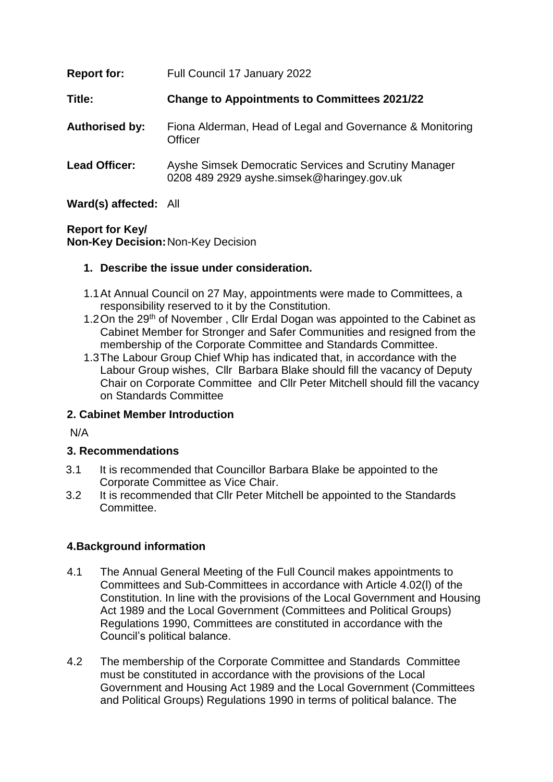| <b>Report for:</b>    | Full Council 17 January 2022                                                                        |
|-----------------------|-----------------------------------------------------------------------------------------------------|
| Title:                | <b>Change to Appointments to Committees 2021/22</b>                                                 |
| <b>Authorised by:</b> | Fiona Alderman, Head of Legal and Governance & Monitoring<br>Officer                                |
| <b>Lead Officer:</b>  | Ayshe Simsek Democratic Services and Scrutiny Manager<br>0208 489 2929 ayshe.simsek@haringey.gov.uk |

**Ward(s) affected:** All

**Report for Key/ Non-Key Decision:**Non-Key Decision

### **1. Describe the issue under consideration.**

- 1.1At Annual Council on 27 May, appointments were made to Committees, a responsibility reserved to it by the Constitution.
- 1.2 On the 29<sup>th</sup> of November, Cllr Erdal Dogan was appointed to the Cabinet as Cabinet Member for Stronger and Safer Communities and resigned from the membership of the Corporate Committee and Standards Committee.
- 1.3The Labour Group Chief Whip has indicated that, in accordance with the Labour Group wishes, Cllr Barbara Blake should fill the vacancy of Deputy Chair on Corporate Committee and Cllr Peter Mitchell should fill the vacancy on Standards Committee

# **2. Cabinet Member Introduction**

N/A

# **3. Recommendations**

- 3.1 It is recommended that Councillor Barbara Blake be appointed to the Corporate Committee as Vice Chair.
- 3.2 It is recommended that Cllr Peter Mitchell be appointed to the Standards Committee.

# **4.Background information**

- 4.1 The Annual General Meeting of the Full Council makes appointments to Committees and Sub-Committees in accordance with Article 4.02(l) of the Constitution. In line with the provisions of the Local Government and Housing Act 1989 and the Local Government (Committees and Political Groups) Regulations 1990, Committees are constituted in accordance with the Council's political balance.
- 4.2 The membership of the Corporate Committee and Standards Committee must be constituted in accordance with the provisions of the Local Government and Housing Act 1989 and the Local Government (Committees and Political Groups) Regulations 1990 in terms of political balance. The